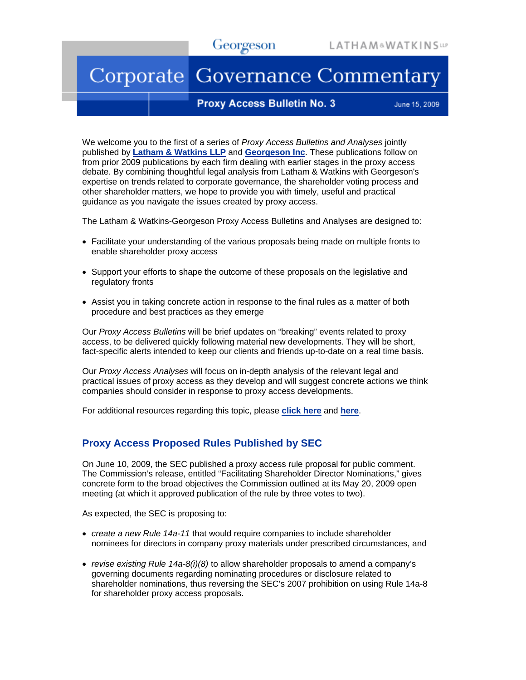# Georgeson

# Corporate Governance Commentary

#### **Proxy Access Bulletin No. 3**

June 15, 2009

We welcome you to the first of a series of *Proxy Access Bulletins and Analyses* jointly published by **[Latham & Watkins LLP](http://www.lw.com/)** and **[Georgeson Inc](http://www.georgeson.com/)**. These publications follow on from prior 2009 publications by each firm dealing with earlier stages in the proxy access debate. By combining thoughtful legal analysis from Latham & Watkins with Georgeson's expertise on trends related to corporate governance, the shareholder voting process and other shareholder matters, we hope to provide you with timely, useful and practical guidance as you navigate the issues created by proxy access.

The Latham & Watkins-Georgeson Proxy Access Bulletins and Analyses are designed to:

- Facilitate your understanding of the various proposals being made on multiple fronts to enable shareholder proxy access
- Support your efforts to shape the outcome of these proposals on the legislative and regulatory fronts
- Assist you in taking concrete action in response to the final rules as a matter of both procedure and best practices as they emerge

Our *Proxy Access Bulletins* will be brief updates on "breaking" events related to proxy access, to be delivered quickly following material new developments. They will be short, fact-specific alerts intended to keep our clients and friends up-to-date on a real time basis.

Our *Proxy Access Analyses* will focus on in-depth analysis of the relevant legal and practical issues of proxy access as they develop and will suggest concrete actions we think companies should consider in response to proxy access developments.

For additional resources regarding this topic, please **[click here](http://www.lw.com/practices.aspx?page=practicedetail&practice=100)** and **[here](http://www.georgeson.com/usa/download/georgeson_report/GeorgesonReport_030209.pdf)**.

## **Proxy Access Proposed Rules Published by SEC**

On June 10, 2009, the SEC published a proxy access rule proposal for public comment. The Commission's release, entitled "Facilitating Shareholder Director Nominations," gives concrete form to the broad objectives the Commission outlined at its May 20, 2009 open meeting (at which it approved publication of the rule by three votes to two).

As expected, the SEC is proposing to:

- *create a new Rule 14a-11* that would require companies to include shareholder nominees for directors in company proxy materials under prescribed circumstances, and
- *revise existing Rule 14a-8(i)(8)* to allow shareholder proposals to amend a company's governing documents regarding nominating procedures or disclosure related to shareholder nominations, thus reversing the SEC's 2007 prohibition on using Rule 14a-8 for shareholder proxy access proposals.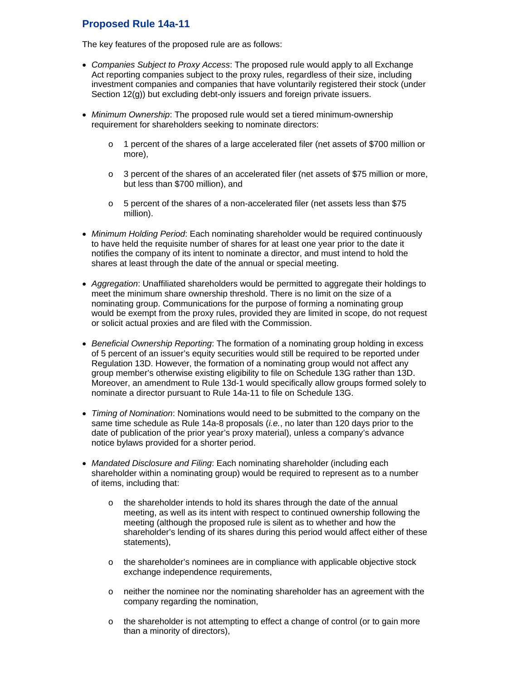# **Proposed Rule 14a-11**

The key features of the proposed rule are as follows:

- *Companies Subject to Proxy Access*: The proposed rule would apply to all Exchange Act reporting companies subject to the proxy rules, regardless of their size, including investment companies and companies that have voluntarily registered their stock (under Section 12(g)) but excluding debt-only issuers and foreign private issuers.
- *Minimum Ownership*: The proposed rule would set a tiered minimum-ownership requirement for shareholders seeking to nominate directors:
	- $\circ$  1 percent of the shares of a large accelerated filer (net assets of \$700 million or more),
	- $\circ$  3 percent of the shares of an accelerated filer (net assets of \$75 million or more, but less than \$700 million), and
	- o 5 percent of the shares of a non-accelerated filer (net assets less than \$75 million).
- *Minimum Holding Period*: Each nominating shareholder would be required continuously to have held the requisite number of shares for at least one year prior to the date it notifies the company of its intent to nominate a director, and must intend to hold the shares at least through the date of the annual or special meeting.
- *Aggregation*: Unaffiliated shareholders would be permitted to aggregate their holdings to meet the minimum share ownership threshold. There is no limit on the size of a nominating group. Communications for the purpose of forming a nominating group would be exempt from the proxy rules, provided they are limited in scope, do not request or solicit actual proxies and are filed with the Commission.
- *Beneficial Ownership Reporting*: The formation of a nominating group holding in excess of 5 percent of an issuer's equity securities would still be required to be reported under Regulation 13D. However, the formation of a nominating group would not affect any group member's otherwise existing eligibility to file on Schedule 13G rather than 13D. Moreover, an amendment to Rule 13d-1 would specifically allow groups formed solely to nominate a director pursuant to Rule 14a-11 to file on Schedule 13G.
- *Timing of Nomination*: Nominations would need to be submitted to the company on the same time schedule as Rule 14a-8 proposals (*i.e.*, no later than 120 days prior to the date of publication of the prior year's proxy material), unless a company's advance notice bylaws provided for a shorter period.
- *Mandated Disclosure and Filing*: Each nominating shareholder (including each shareholder within a nominating group) would be required to represent as to a number of items, including that:
	- $\circ$  the shareholder intends to hold its shares through the date of the annual meeting, as well as its intent with respect to continued ownership following the meeting (although the proposed rule is silent as to whether and how the shareholder's lending of its shares during this period would affect either of these statements),
	- o the shareholder's nominees are in compliance with applicable objective stock exchange independence requirements,
	- o neither the nominee nor the nominating shareholder has an agreement with the company regarding the nomination,
	- $\circ$  the shareholder is not attempting to effect a change of control (or to gain more than a minority of directors),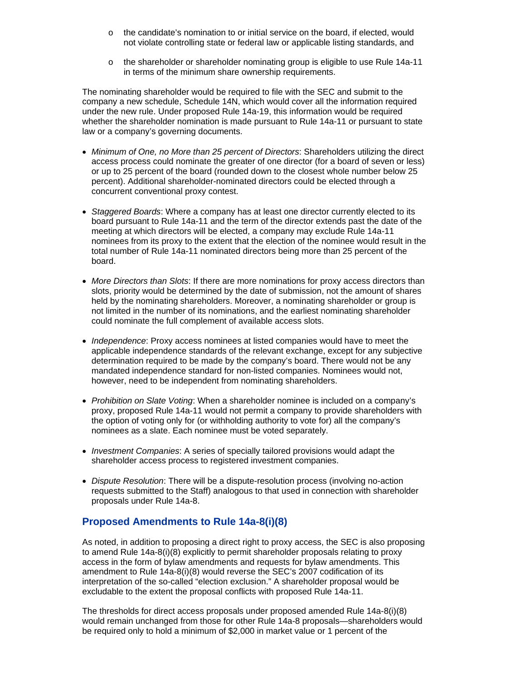- o the candidate's nomination to or initial service on the board, if elected, would not violate controlling state or federal law or applicable listing standards, and
- o the shareholder or shareholder nominating group is eligible to use Rule 14a-11 in terms of the minimum share ownership requirements.

The nominating shareholder would be required to file with the SEC and submit to the company a new schedule, Schedule 14N, which would cover all the information required under the new rule. Under proposed Rule 14a-19, this information would be required whether the shareholder nomination is made pursuant to Rule 14a-11 or pursuant to state law or a company's governing documents.

- *Minimum of One, no More than 25 percent of Directors*: Shareholders utilizing the direct access process could nominate the greater of one director (for a board of seven or less) or up to 25 percent of the board (rounded down to the closest whole number below 25 percent). Additional shareholder-nominated directors could be elected through a concurrent conventional proxy contest.
- *Staggered Boards*: Where a company has at least one director currently elected to its board pursuant to Rule 14a-11 and the term of the director extends past the date of the meeting at which directors will be elected, a company may exclude Rule 14a-11 nominees from its proxy to the extent that the election of the nominee would result in the total number of Rule 14a-11 nominated directors being more than 25 percent of the board.
- *More Directors than Slots*: If there are more nominations for proxy access directors than slots, priority would be determined by the date of submission, not the amount of shares held by the nominating shareholders. Moreover, a nominating shareholder or group is not limited in the number of its nominations, and the earliest nominating shareholder could nominate the full complement of available access slots.
- *Independence*: Proxy access nominees at listed companies would have to meet the applicable independence standards of the relevant exchange, except for any subjective determination required to be made by the company's board. There would not be any mandated independence standard for non-listed companies. Nominees would not, however, need to be independent from nominating shareholders.
- *Prohibition on Slate Voting*: When a shareholder nominee is included on a company's proxy, proposed Rule 14a-11 would not permit a company to provide shareholders with the option of voting only for (or withholding authority to vote for) all the company's nominees as a slate. Each nominee must be voted separately.
- *Investment Companies*: A series of specially tailored provisions would adapt the shareholder access process to registered investment companies.
- *Dispute Resolution*: There will be a dispute-resolution process (involving no-action requests submitted to the Staff) analogous to that used in connection with shareholder proposals under Rule 14a-8.

# **Proposed Amendments to Rule 14a-8(i)(8)**

As noted, in addition to proposing a direct right to proxy access, the SEC is also proposing to amend Rule 14a-8(i)(8) explicitly to permit shareholder proposals relating to proxy access in the form of bylaw amendments and requests for bylaw amendments. This amendment to Rule 14a-8(i)(8) would reverse the SEC's 2007 codification of its interpretation of the so-called "election exclusion." A shareholder proposal would be excludable to the extent the proposal conflicts with proposed Rule 14a-11.

The thresholds for direct access proposals under proposed amended Rule 14a-8(i)(8) would remain unchanged from those for other Rule 14a-8 proposals—shareholders would be required only to hold a minimum of \$2,000 in market value or 1 percent of the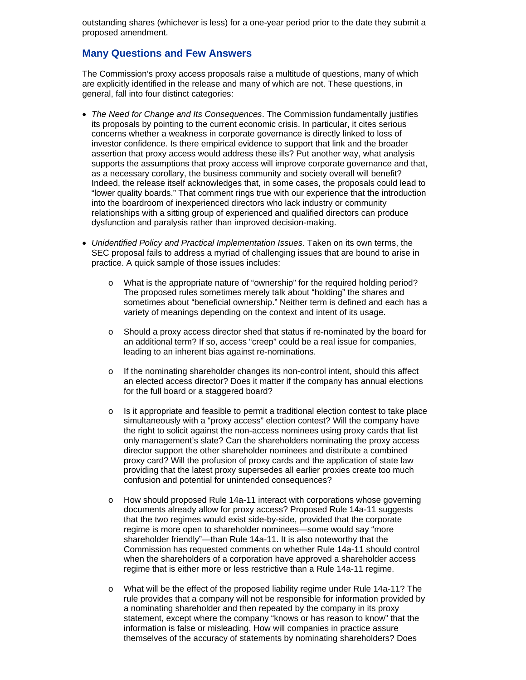outstanding shares (whichever is less) for a one-year period prior to the date they submit a proposed amendment.

## **Many Questions and Few Answers**

The Commission's proxy access proposals raise a multitude of questions, many of which are explicitly identified in the release and many of which are not. These questions, in general, fall into four distinct categories:

- *The Need for Change and Its Consequences*. The Commission fundamentally justifies its proposals by pointing to the current economic crisis. In particular, it cites serious concerns whether a weakness in corporate governance is directly linked to loss of investor confidence. Is there empirical evidence to support that link and the broader assertion that proxy access would address these ills? Put another way, what analysis supports the assumptions that proxy access will improve corporate governance and that, as a necessary corollary, the business community and society overall will benefit? Indeed, the release itself acknowledges that, in some cases, the proposals could lead to "lower quality boards." That comment rings true with our experience that the introduction into the boardroom of inexperienced directors who lack industry or community relationships with a sitting group of experienced and qualified directors can produce dysfunction and paralysis rather than improved decision-making.
- *Unidentified Policy and Practical Implementation Issues*. Taken on its own terms, the SEC proposal fails to address a myriad of challenging issues that are bound to arise in practice. A quick sample of those issues includes:
	- o What is the appropriate nature of "ownership" for the required holding period? The proposed rules sometimes merely talk about "holding" the shares and sometimes about "beneficial ownership." Neither term is defined and each has a variety of meanings depending on the context and intent of its usage.
	- o Should a proxy access director shed that status if re-nominated by the board for an additional term? If so, access "creep" could be a real issue for companies, leading to an inherent bias against re-nominations.
	- $\circ$  If the nominating shareholder changes its non-control intent, should this affect an elected access director? Does it matter if the company has annual elections for the full board or a staggered board?
	- o Is it appropriate and feasible to permit a traditional election contest to take place simultaneously with a "proxy access" election contest? Will the company have the right to solicit against the non-access nominees using proxy cards that list only management's slate? Can the shareholders nominating the proxy access director support the other shareholder nominees and distribute a combined proxy card? Will the profusion of proxy cards and the application of state law providing that the latest proxy supersedes all earlier proxies create too much confusion and potential for unintended consequences?
	- o How should proposed Rule 14a-11 interact with corporations whose governing documents already allow for proxy access? Proposed Rule 14a-11 suggests that the two regimes would exist side-by-side, provided that the corporate regime is more open to shareholder nominees—some would say "more shareholder friendly"—than Rule 14a-11. It is also noteworthy that the Commission has requested comments on whether Rule 14a-11 should control when the shareholders of a corporation have approved a shareholder access regime that is either more or less restrictive than a Rule 14a-11 regime.
	- o What will be the effect of the proposed liability regime under Rule 14a-11? The rule provides that a company will not be responsible for information provided by a nominating shareholder and then repeated by the company in its proxy statement, except where the company "knows or has reason to know" that the information is false or misleading. How will companies in practice assure themselves of the accuracy of statements by nominating shareholders? Does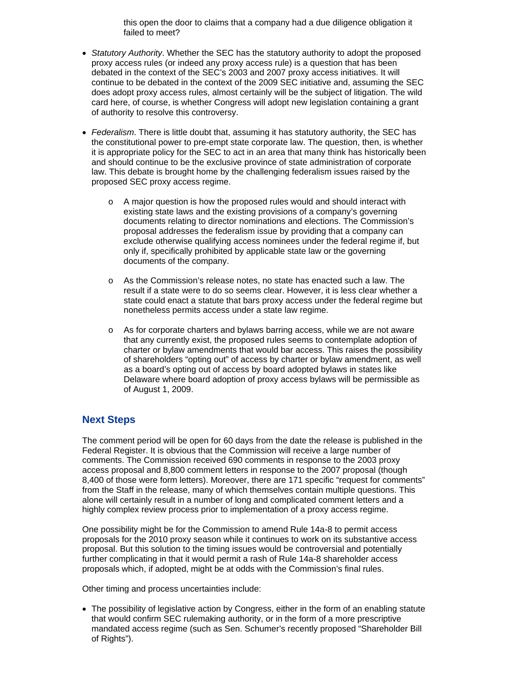this open the door to claims that a company had a due diligence obligation it failed to meet?

- *Statutory Authority*. Whether the SEC has the statutory authority to adopt the proposed proxy access rules (or indeed any proxy access rule) is a question that has been debated in the context of the SEC's 2003 and 2007 proxy access initiatives. It will continue to be debated in the context of the 2009 SEC initiative and, assuming the SEC does adopt proxy access rules, almost certainly will be the subject of litigation. The wild card here, of course, is whether Congress will adopt new legislation containing a grant of authority to resolve this controversy.
- *Federalism*. There is little doubt that, assuming it has statutory authority, the SEC has the constitutional power to pre-empt state corporate law. The question, then, is whether it is appropriate policy for the SEC to act in an area that many think has historically been and should continue to be the exclusive province of state administration of corporate law. This debate is brought home by the challenging federalism issues raised by the proposed SEC proxy access regime.
	- $\circ$  A major question is how the proposed rules would and should interact with existing state laws and the existing provisions of a company's governing documents relating to director nominations and elections. The Commission's proposal addresses the federalism issue by providing that a company can exclude otherwise qualifying access nominees under the federal regime if, but only if, specifically prohibited by applicable state law or the governing documents of the company.
	- o As the Commission's release notes, no state has enacted such a law. The result if a state were to do so seems clear. However, it is less clear whether a state could enact a statute that bars proxy access under the federal regime but nonetheless permits access under a state law regime.
	- o As for corporate charters and bylaws barring access, while we are not aware that any currently exist, the proposed rules seems to contemplate adoption of charter or bylaw amendments that would bar access. This raises the possibility of shareholders "opting out" of access by charter or bylaw amendment, as well as a board's opting out of access by board adopted bylaws in states like Delaware where board adoption of proxy access bylaws will be permissible as of August 1, 2009.

## **Next Steps**

The comment period will be open for 60 days from the date the release is published in the Federal Register. It is obvious that the Commission will receive a large number of comments. The Commission received 690 comments in response to the 2003 proxy access proposal and 8,800 comment letters in response to the 2007 proposal (though 8,400 of those were form letters). Moreover, there are 171 specific "request for comments" from the Staff in the release, many of which themselves contain multiple questions. This alone will certainly result in a number of long and complicated comment letters and a highly complex review process prior to implementation of a proxy access regime.

One possibility might be for the Commission to amend Rule 14a-8 to permit access proposals for the 2010 proxy season while it continues to work on its substantive access proposal. But this solution to the timing issues would be controversial and potentially further complicating in that it would permit a rash of Rule 14a-8 shareholder access proposals which, if adopted, might be at odds with the Commission's final rules.

Other timing and process uncertainties include:

• The possibility of legislative action by Congress, either in the form of an enabling statute that would confirm SEC rulemaking authority, or in the form of a more prescriptive mandated access regime (such as Sen. Schumer's recently proposed "Shareholder Bill of Rights").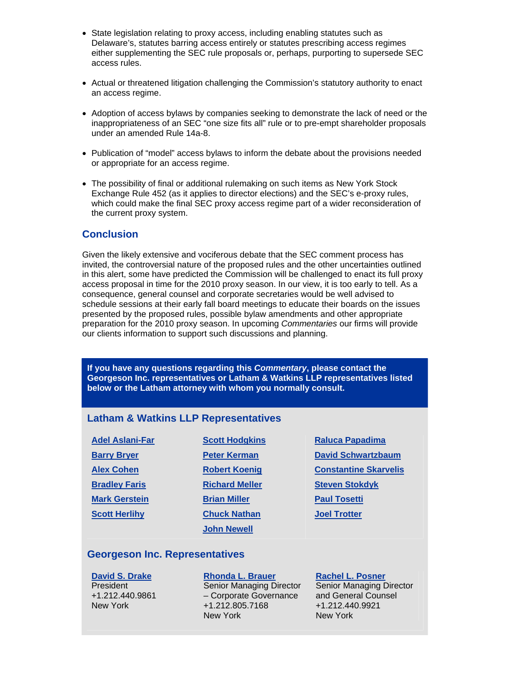- State legislation relating to proxy access, including enabling statutes such as Delaware's, statutes barring access entirely or statutes prescribing access regimes either supplementing the SEC rule proposals or, perhaps, purporting to supersede SEC access rules.
- Actual or threatened litigation challenging the Commission's statutory authority to enact an access regime.
- Adoption of access bylaws by companies seeking to demonstrate the lack of need or the inappropriateness of an SEC "one size fits all" rule or to pre-empt shareholder proposals under an amended Rule 14a-8.
- Publication of "model" access bylaws to inform the debate about the provisions needed or appropriate for an access regime.
- The possibility of final or additional rulemaking on such items as New York Stock Exchange Rule 452 (as it applies to director elections) and the SEC's e-proxy rules, which could make the final SEC proxy access regime part of a wider reconsideration of the current proxy system.

#### **Conclusion**

Given the likely extensive and vociferous debate that the SEC comment process has invited, the controversial nature of the proposed rules and the other uncertainties outlined in this alert, some have predicted the Commission will be challenged to enact its full proxy access proposal in time for the 2010 proxy season. In our view, it is too early to tell. As a consequence, general counsel and corporate secretaries would be well advised to schedule sessions at their early fall board meetings to educate their boards on the issues presented by the proposed rules, possible bylaw amendments and other appropriate preparation for the 2010 proxy season. In upcoming *Commentaries* our firms will provide our clients information to support such discussions and planning.

**If you have any questions regarding this** *Commentary***, please contact the Georgeson Inc. representatives or Latham & Watkins LLP representatives listed below or the Latham attorney with whom you normally consult.** 

#### **Latham & Watkins LLP Representatives**

| <b>Adel Aslani-Far</b> | <b>Scott Hodgkins</b> |
|------------------------|-----------------------|
| <b>Barry Bryer</b>     | <b>Peter Kerman</b>   |
| <b>Alex Cohen</b>      | <b>Robert Koenig</b>  |
| <b>Bradley Faris</b>   | <b>Richard Meller</b> |
| <b>Mark Gerstein</b>   | <b>Brian Miller</b>   |
| <b>Scott Herlihy</b>   | <b>Chuck Nathan</b>   |
|                        | <b>John Newell</b>    |

**[Raluca Papadima](http://www.lw.com/Attorneys.aspx?page=AttorneyBio&attno=04373) [David Schwartzbaum](http://www.lw.com/Attorneys.aspx?page=AttorneyBio&attno=01747) [Constantine Skarvelis](http://www.lw.com/Attorneys.aspx?page=AttorneyBio&attno=04514) [Steven Stokdyk](http://www.lw.com/Attorneys.aspx?page=AttorneyBio&attno=04023) [Paul Tosetti](http://www.lw.com/Attorneys.aspx?page=AttorneyBio&attno=00861) [Joel Trotter](http://www.lw.com/Attorneys.aspx?page=AttorneyBio&attno=02996)**

#### **Georgeson Inc. Representatives**

**[David S. Drake](mailto:ddrake@georgeson.com)** President +1.212.440.9861 New York

**[Rhonda L. Brauer](mailto:rbrauer@georgeson.com)** Senior Managing Director – Corporate Governance +1.212.805.7168 New York

## **[Rachel L. Posner](mailto:rposner@georgeson.com)**

Senior Managing Director and General Counsel +1.212.440.9921 New York